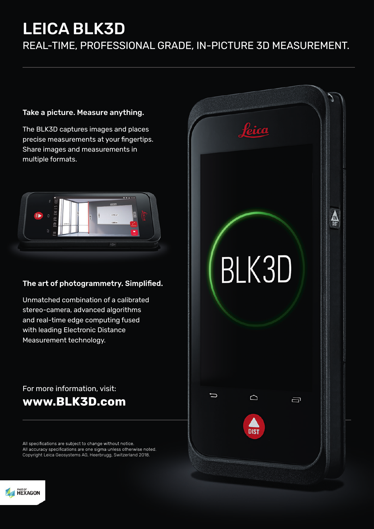# LEICA BLK3D

REAL-TIME, PROFESSIONAL GRADE, IN-PICTURE 3D MEASUREMENT.

### Take a picture. Measure anything.

The BLK3D captures images and places precise measurements at your fingertips. Share images and measurements in multiple formats.



### The art of photogrammetry. Simplified.

Unmatched combination of a calibrated stereo-camera, advanced algorithms and real-time edge computing fused with leading Electronic Distance Measurement technology.

## For more information, visit: **www.BLK3D.com**

All specifications are subject to change without notice. All accuracy specifications are one sigma unless otherwise noted. Copyright Leica Geosystems AG, Heerbrugg, Switzerland 2018.